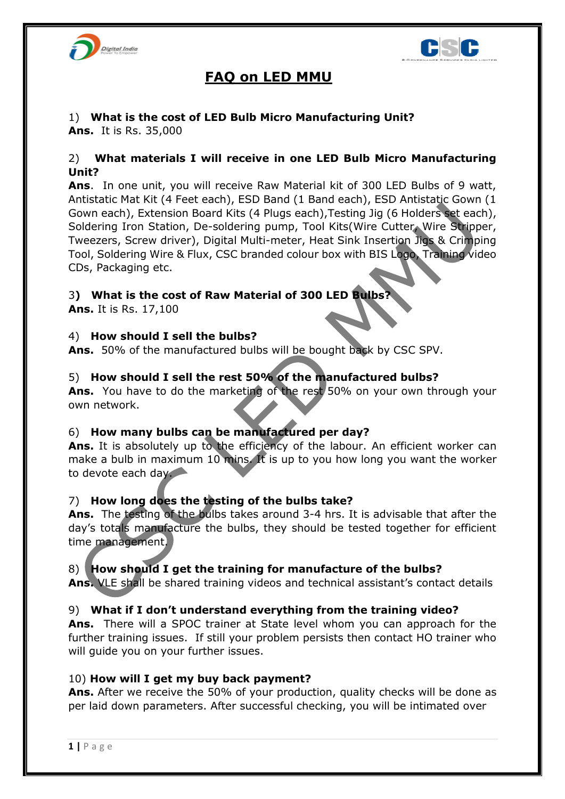



# **FAQ on LED MMU**

# 1) **What is the cost of LED Bulb Micro Manufacturing Unit?**

**Ans.** It is Rs. 35,000

## 2) **What materials I will receive in one LED Bulb Micro Manufacturing Unit?**

**Ans**. In one unit, you will receive Raw Material kit of 300 LED Bulbs of 9 watt, Antistatic Mat Kit (4 Feet each), ESD Band (1 Band each), ESD Antistatic Gown (1 Gown each), Extension Board Kits (4 Plugs each),Testing Jig (6 Holders set each), Soldering Iron Station, De-soldering pump, Tool Kits(Wire Cutter, Wire Stripper, Tweezers, Screw driver), Digital Multi-meter, Heat Sink Insertion Jigs & Crimping Tool, Soldering Wire & Flux, CSC branded colour box with BIS Logo, Training video CDs, Packaging etc.

## 3**) What is the cost of Raw Material of 300 LED Bulbs?**

**Ans.** It is Rs. 17,100

# 4) **How should I sell the bulbs?**

**Ans.** 50% of the manufactured bulbs will be bought back by CSC SPV.

# 5) **How should I sell the rest 50% of the manufactured bulbs?**

**Ans.** You have to do the marketing of the rest 50% on your own through your own network.

## 6) **How many bulbs can be manufactured per day?**

Ans. It is absolutely up to the efficiency of the labour. An efficient worker can make a bulb in maximum 10 mins. It is up to you how long you want the worker to devote each day.

## 7) **How long does the testing of the bulbs take?**

**Ans.** The testing of the bulbs takes around 3-4 hrs. It is advisable that after the day's totals manufacture the bulbs, they should be tested together for efficient time management.

## 8) **How should I get the training for manufacture of the bulbs?**

**Ans.** VLE shall be shared training videos and technical assistant's contact details

## 9) **What if I don't understand everything from the training video?**

**Ans.** There will a SPOC trainer at State level whom you can approach for the further training issues. If still your problem persists then contact HO trainer who will guide you on your further issues.

## 10) **How will I get my buy back payment?**

**Ans.** After we receive the 50% of your production, quality checks will be done as per laid down parameters. After successful checking, you will be intimated over